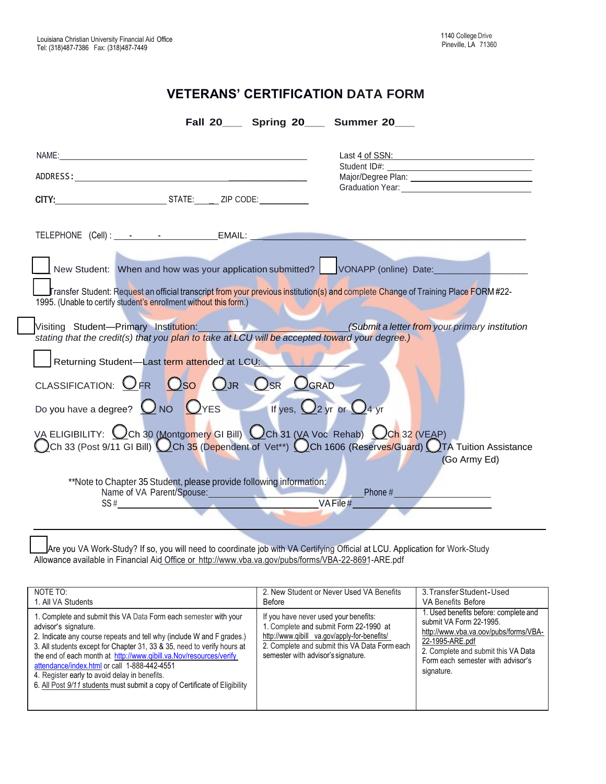## **VETERANS' CERTIFICATION DATA FORM**

| Fall 20_____ Spring 20_____ Summer 20____                                                                                                                                                                                                                                                                                                                                       |                                                |
|---------------------------------------------------------------------------------------------------------------------------------------------------------------------------------------------------------------------------------------------------------------------------------------------------------------------------------------------------------------------------------|------------------------------------------------|
|                                                                                                                                                                                                                                                                                                                                                                                 | Last 4 of SSN:                                 |
| TELEPHONE (Cell): - - - - EMAIL:                                                                                                                                                                                                                                                                                                                                                |                                                |
| New Student: When and how was your application submitted? VONAPP (online) Date:<br>Fransfer Student: Request an official transcript from your previous institution(s) and complete Change of Training Place FORM#22-<br>1995. (Unable to certify student's enrollment without this form.)                                                                                       |                                                |
| Visiting Student-Primary Institution: New York<br>stating that the credit(s) that you plan to take at LCU will be accepted toward your degree.)                                                                                                                                                                                                                                 | (Submit a letter from your primary institution |
| Returning Student-Last term attended at LCU:                                                                                                                                                                                                                                                                                                                                    |                                                |
| CLASSIFICATION: OFR OSO OJR OSR OGRAD<br>Do you have a degree? $\bigcircled{0}$ NO $\bigcircled{0}$ YES If yes, $\bigcircled{2}$ yr or $\bigcircled{4}$ yr                                                                                                                                                                                                                      |                                                |
| VA ELIGIBILITY: Och 30 (Montgomery GI Bill) Och 31 (VA Voc Rehab) Och 32 (VEAP)<br>Och 33 (Post 9/11 GI Bill) Och 35 (Dependent of Vet**) Och 1606 (Reserves/Guard) OTA Tuition Assistance                                                                                                                                                                                      | (Go Army Ed)                                   |
| **Note to Chapter 35 Student, please provide following information:<br>Name of VA Parent/Spouse:<br>the company of the company of the company<br>$SS#$ and the set of the set of the set of the set of the set of the set of the set of the set of the set of the set of the set of the set of the set of the set of the set of the set of the set of the set of the set of the | Phone #<br>VAFile#                             |

\_\_\_Are you VA Work-Study? If so, you will need to coordinate job with VA Certifying Official at LCU. Application for Work-Study Allowance available in Financial Aid Office or [http://www.vba.va.gov/pubs/forms/VBA-22-8691-](http://www.vba.va.gov/pubs/forms/VBA-22-8691-ARE.pdf)ARE.pdf

| NOTE TO:                                                                                                                                                                                                                                                                                                                                                                                                                                                                                          | 2. New Student or Never Used VA Benefits                                                                                                                                                                               | 3. Transfer Student-Used                                                                                                                                                                                               |
|---------------------------------------------------------------------------------------------------------------------------------------------------------------------------------------------------------------------------------------------------------------------------------------------------------------------------------------------------------------------------------------------------------------------------------------------------------------------------------------------------|------------------------------------------------------------------------------------------------------------------------------------------------------------------------------------------------------------------------|------------------------------------------------------------------------------------------------------------------------------------------------------------------------------------------------------------------------|
| 1. All VA Students                                                                                                                                                                                                                                                                                                                                                                                                                                                                                | Before                                                                                                                                                                                                                 | <b>VA Benefits Before</b>                                                                                                                                                                                              |
| 1. Complete and submit this VA Data Form each semester with your<br>advisor's signature.<br>2. Indicate any course repeats and tell why (include W and F grades.)<br>3. All students except for Chapter 31, 33 & 35, need to verify hours at<br>the end of each month at http://www.qibill.va.Nov/resources/verify<br>attendance/index.html or call 1-888-442-4551<br>4. Register early to avoid delay in benefits.<br>6. All Post 9/11 students must submit a copy of Certificate of Eligibility | If you have never used your benefits:<br>1. Complete and submit Form 22-1990 at<br>http://www.gibill va.gov/apply-for-benefits/<br>2. Complete and submit this VA Data Form each<br>semester with advisor's signature. | 1. Used benefits before: complete and<br>submit VA Form 22-1995.<br>http://www.vba.va.oov/pubs/forms/VBA-<br>22-1995-ARE.pdf<br>2. Complete and submit this VA Data<br>Form each semester with advisor's<br>signature. |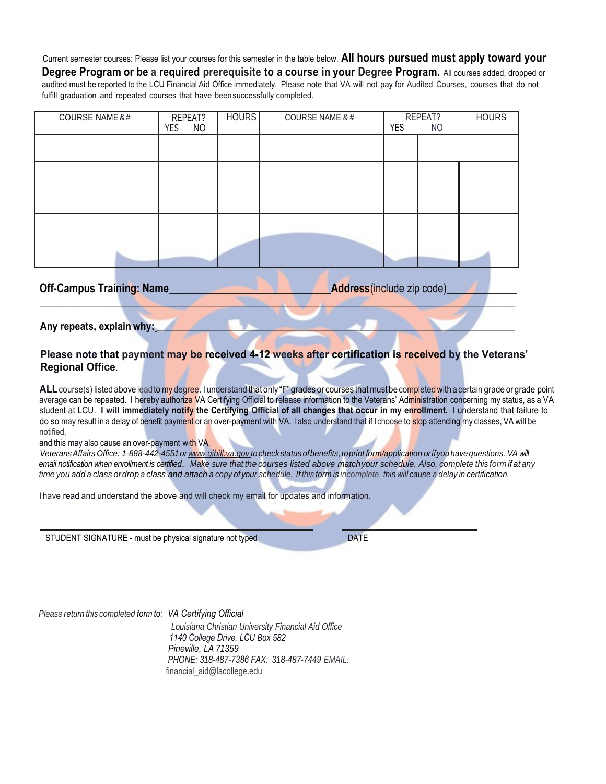Current semester courses: Please list your courses for this semester in the table below. **All hours pursued must apply toward your Degree Program or be a required prerequisite to a course in your Degree Program.** All courses added, dropped or audited must be reported to the LCU Financial Aid Office immediately. Please note that VA will not pay for Audited Courses, courses that do not fulfill graduation and repeated courses that have beensuccessfully completed.

| <b>COURSE NAME &amp;#&lt;/b&gt;&lt;/th&gt;&lt;th&gt;&lt;/th&gt;&lt;th&gt;REPEAT?&lt;/th&gt;&lt;th&gt;&lt;b&gt;HOURS&lt;/b&gt;&lt;/th&gt;&lt;th&gt;&lt;b&gt;COURSE NAME &amp; #&lt;/b&gt;&lt;/th&gt;&lt;th&gt;&lt;/th&gt;&lt;th&gt;REPEAT?&lt;/th&gt;&lt;th&gt;&lt;b&gt;HOURS&lt;/b&gt;&lt;/th&gt;&lt;/tr&gt;&lt;tr&gt;&lt;td&gt;&lt;/td&gt;&lt;td&gt;YES&lt;/td&gt;&lt;td&gt;&lt;b&gt;NO&lt;/b&gt;&lt;/td&gt;&lt;td&gt;&lt;/td&gt;&lt;td&gt;&lt;/td&gt;&lt;td&gt;&lt;b&gt;YES&lt;/b&gt;&lt;/td&gt;&lt;td&gt;NO&lt;/td&gt;&lt;td&gt;&lt;/td&gt;&lt;/tr&gt;&lt;tr&gt;&lt;td&gt;&lt;/td&gt;&lt;td&gt;&lt;/td&gt;&lt;td&gt;&lt;/td&gt;&lt;td&gt;&lt;/td&gt;&lt;td&gt;&lt;/td&gt;&lt;td&gt;&lt;/td&gt;&lt;td&gt;&lt;/td&gt;&lt;td&gt;&lt;/td&gt;&lt;/tr&gt;&lt;tr&gt;&lt;td&gt;&lt;/td&gt;&lt;td&gt;&lt;/td&gt;&lt;td&gt;&lt;/td&gt;&lt;td&gt;&lt;/td&gt;&lt;td&gt;&lt;/td&gt;&lt;td&gt;&lt;/td&gt;&lt;td&gt;&lt;/td&gt;&lt;td&gt;&lt;/td&gt;&lt;/tr&gt;&lt;tr&gt;&lt;td&gt;&lt;/td&gt;&lt;td&gt;&lt;/td&gt;&lt;td&gt;&lt;/td&gt;&lt;td&gt;&lt;/td&gt;&lt;td&gt;&lt;/td&gt;&lt;td&gt;&lt;/td&gt;&lt;td&gt;&lt;/td&gt;&lt;td&gt;&lt;/td&gt;&lt;/tr&gt;&lt;tr&gt;&lt;td&gt;&lt;/td&gt;&lt;td&gt;&lt;/td&gt;&lt;td&gt;&lt;/td&gt;&lt;td&gt;&lt;/td&gt;&lt;td&gt;&lt;/td&gt;&lt;td&gt;&lt;/td&gt;&lt;td&gt;&lt;/td&gt;&lt;td&gt;&lt;/td&gt;&lt;/tr&gt;&lt;tr&gt;&lt;td&gt;&lt;/td&gt;&lt;td&gt;&lt;/td&gt;&lt;td&gt;&lt;/td&gt;&lt;td&gt;&lt;/td&gt;&lt;td&gt;&lt;/td&gt;&lt;td&gt;&lt;/td&gt;&lt;td&gt;&lt;/td&gt;&lt;td&gt;&lt;/td&gt;&lt;/tr&gt;&lt;tr&gt;&lt;td&gt;&lt;/td&gt;&lt;td&gt;&lt;/td&gt;&lt;td&gt;&lt;/td&gt;&lt;td&gt;&lt;/td&gt;&lt;td&gt;&lt;/td&gt;&lt;td&gt;&lt;/td&gt;&lt;td&gt;&lt;/td&gt;&lt;td&gt;&lt;/td&gt;&lt;/tr&gt;&lt;tr&gt;&lt;td&gt;&lt;/td&gt;&lt;td&gt;&lt;/td&gt;&lt;td&gt;&lt;/td&gt;&lt;td&gt;&lt;/td&gt;&lt;td&gt;&lt;/td&gt;&lt;td&gt;&lt;/td&gt;&lt;td&gt;&lt;/td&gt;&lt;td&gt;&lt;/td&gt;&lt;/tr&gt;&lt;tr&gt;&lt;td&gt;&lt;/td&gt;&lt;td&gt;&lt;/td&gt;&lt;td&gt;&lt;/td&gt;&lt;td&gt;&lt;/td&gt;&lt;td&gt;&lt;/td&gt;&lt;td&gt;&lt;/td&gt;&lt;td&gt;&lt;/td&gt;&lt;td&gt;&lt;/td&gt;&lt;/tr&gt;&lt;tr&gt;&lt;td&gt;&lt;/td&gt;&lt;td&gt;&lt;/td&gt;&lt;td&gt;&lt;/td&gt;&lt;td&gt;&lt;/td&gt;&lt;td&gt;&lt;/td&gt;&lt;td&gt;&lt;/td&gt;&lt;td&gt;&lt;/td&gt;&lt;td&gt;&lt;/td&gt;&lt;/tr&gt;&lt;tr&gt;&lt;td&gt;Off Campus Training: Name&lt;/td&gt;&lt;td&gt;&lt;/td&gt;&lt;td&gt;&lt;/td&gt;&lt;td&gt;&lt;/td&gt;&lt;td&gt;Address/include zin code)&lt;/td&gt;&lt;td&gt;&lt;/td&gt;&lt;td&gt;&lt;/td&gt;&lt;td&gt;&lt;/td&gt;&lt;/tr&gt;&lt;/tbody&gt;&lt;/table&gt;</b> |
|---------------------------------------------------------------------------------------------------------------------------------------------------------------------------------------------------------------------------------------------------------------------------------------------------------------------------------------------------------------------------------------------------------------------------------------------------------------------------------------------------------------------------------------------------------------------------------------------------------------------------------------------------------------------------------------------------------------------------------------------------------------------------------------------------------------------------------------------------------------------------------------------------------------------------------------------------------------------------------------------------------------------------------------------------------------------------------------------------------------------------------------------------------------------------------------------------------------------------------------------------------------------------------------------------------------------------------------------------------------------------------------------------------------------------------------------------------------------------------------------------------------------------------------------------------------------------------------------------------------------------------------------------------------------------------------------------------------------------------------------------------------------------------------------------------------------------------------------------------------------------------------------------------------------------------------------------------------------------------------------------------------------------------------------------------------------------------------------------------------------------------------------------------------------------------------------------------------------------------------------------------------------------------------------------------------------------------------------------------------------------------------------------------------------------------------------------------------------------------------------------------------------------------------------------------------------------------------------------------------|
|---------------------------------------------------------------------------------------------------------------------------------------------------------------------------------------------------------------------------------------------------------------------------------------------------------------------------------------------------------------------------------------------------------------------------------------------------------------------------------------------------------------------------------------------------------------------------------------------------------------------------------------------------------------------------------------------------------------------------------------------------------------------------------------------------------------------------------------------------------------------------------------------------------------------------------------------------------------------------------------------------------------------------------------------------------------------------------------------------------------------------------------------------------------------------------------------------------------------------------------------------------------------------------------------------------------------------------------------------------------------------------------------------------------------------------------------------------------------------------------------------------------------------------------------------------------------------------------------------------------------------------------------------------------------------------------------------------------------------------------------------------------------------------------------------------------------------------------------------------------------------------------------------------------------------------------------------------------------------------------------------------------------------------------------------------------------------------------------------------------------------------------------------------------------------------------------------------------------------------------------------------------------------------------------------------------------------------------------------------------------------------------------------------------------------------------------------------------------------------------------------------------------------------------------------------------------------------------------------------------|

 $\mathbb{Z}$  . The set of  $\mathbb{Z}$ 

 **Off-Campus Training: Name\_\_\_\_\_\_\_\_\_\_\_\_\_\_\_\_\_\_\_\_\_\_\_\_\_\_\_\_\_\_Address**(include zip code)\_\_\_\_\_\_\_\_\_\_\_\_\_

Any repeats, explain why:

**Please note that payment may be received 4-12 weeks after certification is received by the Veterans' Regional Office.**

ALL course(s) listed above lead to my degree. Iunderstand that only "F" grades or courses that must be completed with a certain grade or grade point average can be repeated. I hereby authorize VA Certifying Official to release information to the Veterans' Administration concerning my status, as a VA student at LCU. **I will immediately notify the Certifying Official of all changes that occur in my enrollment.** I understand that failure to do so may result in a delay of benefit payment or an over-payment with VA. Ialso understand that if I choose to stop attending my classes, VA will be notified,

and this may also cause an over-payment with VA.

Veterans Affairs Office: 1-888-442-4551 or www.gibill.va.gov to check status of benefits, to print form/application or if you have questions. VA will email notification when enrollment is certified. Make sure that the courses listed above match your schedule. Also, complete this form if at any time you add a class or drop a class and attach a copy of your schedule. If this form is incomplete, this will cause a delay in certification.

I have read and understand the above and will check my email for updates and information.

STUDENT SIGNATURE - must be physical signature not typed DATE

*Please return this completed form to: VA Certifying Official*

 *Louisiana Christian University Financial Aid Office 1140 College Drive, LCU Box 582 Pineville, LA 71359 PHONE: 318-487-7386 FAX: 318-487-7449 EMAIL:* financial\_aid@lacollege.edu